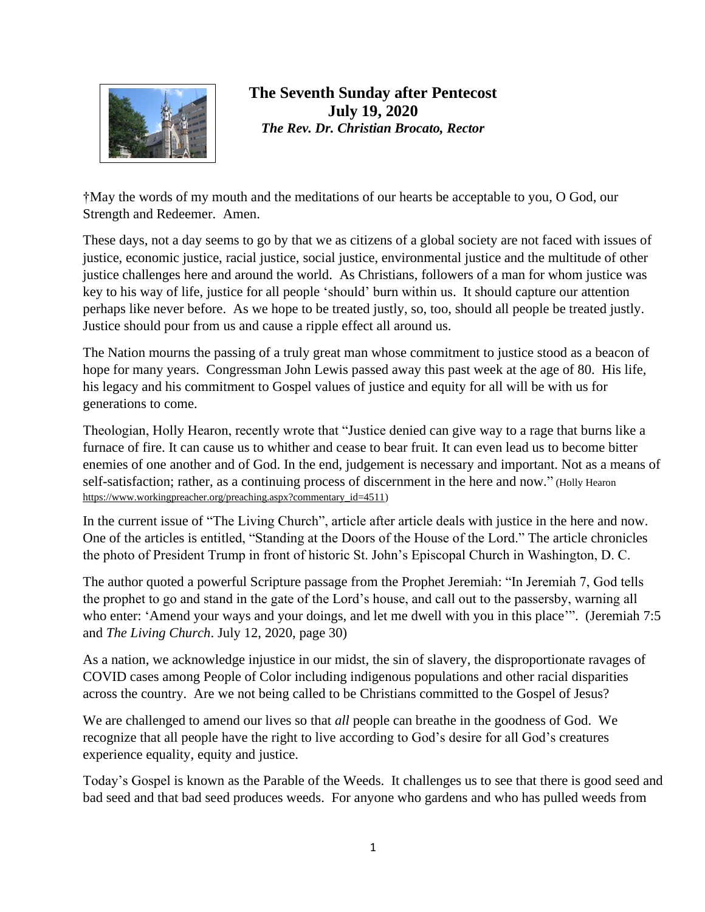

## **The Seventh Sunday after Pentecost July 19, 2020** *The Rev. Dr. Christian Brocato, Rector*

†May the words of my mouth and the meditations of our hearts be acceptable to you, O God, our Strength and Redeemer. Amen.

These days, not a day seems to go by that we as citizens of a global society are not faced with issues of justice, economic justice, racial justice, social justice, environmental justice and the multitude of other justice challenges here and around the world. As Christians, followers of a man for whom justice was key to his way of life, justice for all people 'should' burn within us. It should capture our attention perhaps like never before. As we hope to be treated justly, so, too, should all people be treated justly. Justice should pour from us and cause a ripple effect all around us.

The Nation mourns the passing of a truly great man whose commitment to justice stood as a beacon of hope for many years. Congressman John Lewis passed away this past week at the age of 80. His life, his legacy and his commitment to Gospel values of justice and equity for all will be with us for generations to come.

Theologian, Holly Hearon, recently wrote that "Justice denied can give way to a rage that burns like a furnace of fire. It can cause us to whither and cease to bear fruit. It can even lead us to become bitter enemies of one another and of God. In the end, judgement is necessary and important. Not as a means of self-satisfaction; rather, as a continuing process of discernment in the here and now." (Holly Hearon [https://www.workingpreacher.org/preaching.aspx?commentary\\_id=4511\)](https://www.workingpreacher.org/preaching.aspx?commentary_id=4511)

In the current issue of "The Living Church", article after article deals with justice in the here and now. One of the articles is entitled, "Standing at the Doors of the House of the Lord." The article chronicles the photo of President Trump in front of historic St. John's Episcopal Church in Washington, D. C.

The author quoted a powerful Scripture passage from the Prophet Jeremiah: "In Jeremiah 7, God tells the prophet to go and stand in the gate of the Lord's house, and call out to the passersby, warning all who enter: 'Amend your ways and your doings, and let me dwell with you in this place'". (Jeremiah 7:5 and *The Living Church*. July 12, 2020, page 30)

As a nation, we acknowledge injustice in our midst, the sin of slavery, the disproportionate ravages of COVID cases among People of Color including indigenous populations and other racial disparities across the country. Are we not being called to be Christians committed to the Gospel of Jesus?

We are challenged to amend our lives so that *all* people can breathe in the goodness of God. We recognize that all people have the right to live according to God's desire for all God's creatures experience equality, equity and justice.

Today's Gospel is known as the Parable of the Weeds. It challenges us to see that there is good seed and bad seed and that bad seed produces weeds. For anyone who gardens and who has pulled weeds from